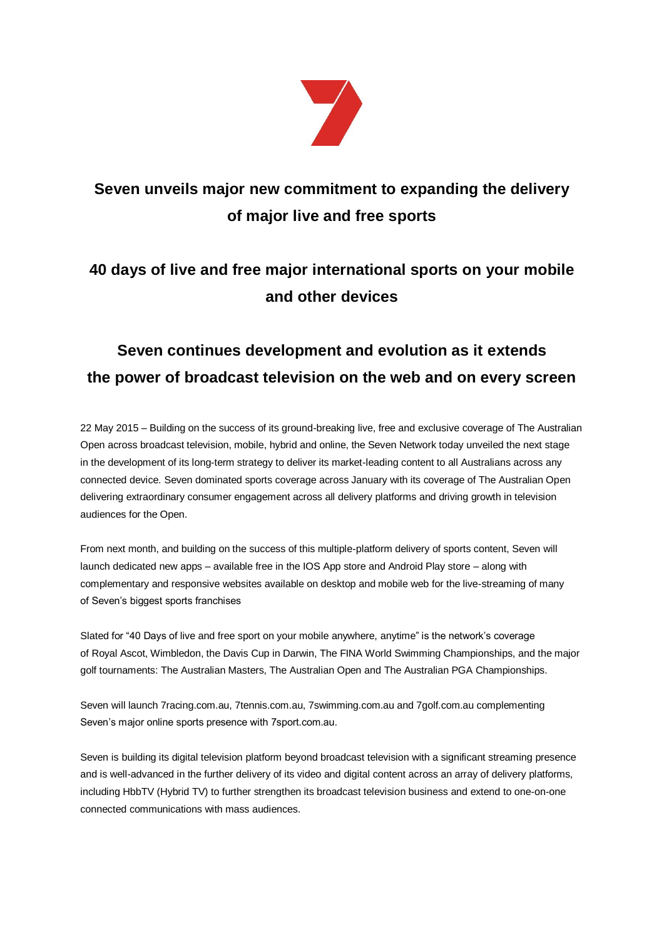

# **Seven unveils major new commitment to expanding the delivery of major live and free sports**

### **40 days of live and free major international sports on your mobile and other devices**

# **Seven continues development and evolution as it extends the power of broadcast television on the web and on every screen**

22 May 2015 – Building on the success of its ground-breaking live, free and exclusive coverage of The Australian Open across broadcast television, mobile, hybrid and online, the Seven Network today unveiled the next stage in the development of its long-term strategy to deliver its market-leading content to all Australians across any connected device. Seven dominated sports coverage across January with its coverage of The Australian Open delivering extraordinary consumer engagement across all delivery platforms and driving growth in television audiences for the Open.

From next month, and building on the success of this multiple-platform delivery of sports content, Seven will launch dedicated new apps – available free in the IOS App store and Android Play store – along with complementary and responsive websites available on desktop and mobile web for the live-streaming of many of Seven's biggest sports franchises

Slated for "40 Days of live and free sport on your mobile anywhere, anytime" is the network's coverage of Royal Ascot, Wimbledon, the Davis Cup in Darwin, The FINA World Swimming Championships, and the major golf tournaments: The Australian Masters, The Australian Open and The Australian PGA Championships.

Seven will launch 7racing.com.au, 7tennis.com.au, 7swimming.com.au and 7golf.com.au complementing Seven's major online sports presence with 7sport.com.au.

Seven is building its digital television platform beyond broadcast television with a significant streaming presence and is well-advanced in the further delivery of its video and digital content across an array of delivery platforms, including HbbTV (Hybrid TV) to further strengthen its broadcast television business and extend to one-on-one connected communications with mass audiences.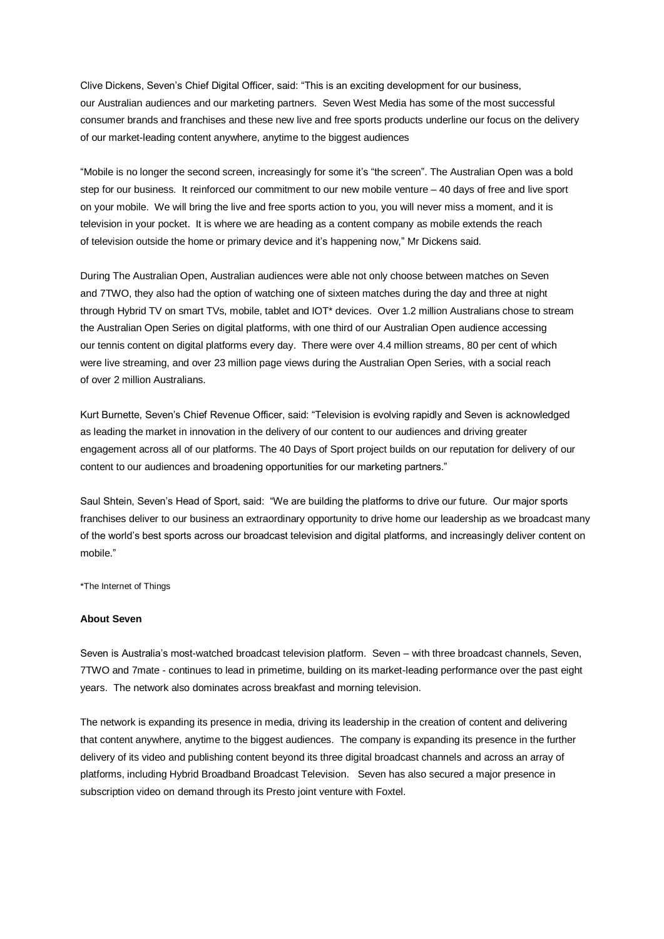Clive Dickens, Seven's Chief Digital Officer, said: "This is an exciting development for our business, our Australian audiences and our marketing partners. Seven West Media has some of the most successful consumer brands and franchises and these new live and free sports products underline our focus on the delivery of our market-leading content anywhere, anytime to the biggest audiences

"Mobile is no longer the second screen, increasingly for some it's "the screen". The Australian Open was a bold step for our business. It reinforced our commitment to our new mobile venture – 40 days of free and live sport on your mobile. We will bring the live and free sports action to you, you will never miss a moment, and it is television in your pocket. It is where we are heading as a content company as mobile extends the reach of television outside the home or primary device and it's happening now," Mr Dickens said.

During The Australian Open, Australian audiences were able not only choose between matches on Seven and 7TWO, they also had the option of watching one of sixteen matches during the day and three at night through Hybrid TV on smart TVs, mobile, tablet and IOT\* devices. Over 1.2 million Australians chose to stream the Australian Open Series on digital platforms, with one third of our Australian Open audience accessing our tennis content on digital platforms every day. There were over 4.4 million streams, 80 per cent of which were live streaming, and over 23 million page views during the Australian Open Series, with a social reach of over 2 million Australians.

Kurt Burnette, Seven's Chief Revenue Officer, said: "Television is evolving rapidly and Seven is acknowledged as leading the market in innovation in the delivery of our content to our audiences and driving greater engagement across all of our platforms. The 40 Days of Sport project builds on our reputation for delivery of our content to our audiences and broadening opportunities for our marketing partners."

Saul Shtein, Seven's Head of Sport, said: "We are building the platforms to drive our future. Our major sports franchises deliver to our business an extraordinary opportunity to drive home our leadership as we broadcast many of the world's best sports across our broadcast television and digital platforms, and increasingly deliver content on mobile."

\*The Internet of Things

#### **About Seven**

Seven is Australia's most-watched broadcast television platform. Seven – with three broadcast channels, Seven, 7TWO and 7mate - continues to lead in primetime, building on its market-leading performance over the past eight years. The network also dominates across breakfast and morning television.

The network is expanding its presence in media, driving its leadership in the creation of content and delivering that content anywhere, anytime to the biggest audiences. The company is expanding its presence in the further delivery of its video and publishing content beyond its three digital broadcast channels and across an array of platforms, including Hybrid Broadband Broadcast Television. Seven has also secured a major presence in subscription video on demand through its Presto joint venture with Foxtel.